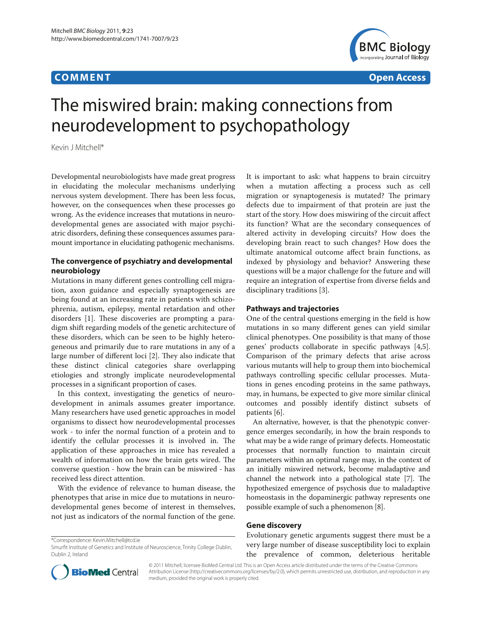

**COMMENT COMMENT COMMENT** 

# The miswired brain: making connections from neurodevelopment to psychopathology

Kevin J Mitchell\*

Developmental neurobiologists have made great progress in elucidating the molecular mechanisms underlying nervous system development. There has been less focus, however, on the consequences when these processes go wrong. As the evidence increases that mutations in neurodevelopmental genes are associated with major psychiatric disorders, defining these consequences assumes paramount importance in elucidating pathogenic mechanisms.

# **The convergence of psychiatry and developmental neurobiology**

Mutations in many different genes controlling cell migration, axon guidance and especially synaptogenesis are being found at an increasing rate in patients with schizophrenia, autism, epilepsy, mental retardation and other disorders  $[1]$ . These discoveries are prompting a paradigm shift regarding models of the genetic architecture of these disorders, which can be seen to be highly heterogeneous and primarily due to rare mutations in any of a large number of different loci [2]. They also indicate that these distinct clinical categories share overlapping etiologies and strongly implicate neurodevelopmental processes in a significant proportion of cases.

In this context, investigating the genetics of neurodevelopment in animals assumes greater importance. Many researchers have used genetic approaches in model organisms to dissect how neurodevelopmental processes work - to infer the normal function of a protein and to identify the cellular processes it is involved in. The application of these approaches in mice has revealed a wealth of information on how the brain gets wired. The converse question - how the brain can be miswired - has received less direct attention.

With the evidence of relevance to human disease, the phenotypes that arise in mice due to mutations in neurodevelopmental genes become of interest in themselves, not just as indicators of the normal function of the gene.

It is important to ask: what happens to brain circuitry when a mutation affecting a process such as cell migration or synaptogenesis is mutated? The primary defects due to impairment of that protein are just the start of the story. How does miswiring of the circuit affect its function? What are the secondary consequences of altered activity in developing circuits? How does the developing brain react to such changes? How does the ultimate anatomical outcome affect brain functions, as indexed by physiology and behavior? Answering these questions will be a major challenge for the future and will require an integration of expertise from diverse fields and disciplinary traditions [3].

## **Pathways and trajectories**

One of the central questions emerging in the field is how mutations in so many different genes can yield similar clinical phenotypes. One possibility is that many of those genes' products collaborate in specific pathways  $[4,5]$ . Comparison of the primary defects that arise across various mutants will help to group them into biochemical pathways controlling specific cellular processes. Mutations in genes encoding proteins in the same pathways, may, in humans, be expected to give more similar clinical outcomes and possibly identify distinct subsets of patients [6].

An alternative, however, is that the phenotypic convergence emerges secondarily, in how the brain responds to what may be a wide range of primary defects. Homeostatic processes that normally function to maintain circuit parameters within an optimal range may, in the context of an initially miswired network, become maladaptive and channel the network into a pathological state [7]. The hypothesized emergence of psychosis due to maladaptive homeostasis in the dopaminergic pathway represents one possible example of such a phenomenon [8].

# **Gene discovery**

Evolutionary genetic arguments suggest there must be a very large number of disease susceptibility loci to explain the prevalence of common, deleterious heritable



© 2011 Mitchell; licensee BioMed Central Ltd. This is an Open Access article distributed under the terms of the Creative Commons Attribution License (http://creativecommons.org/licenses/by/2.0), which permits unrestricted use, distribution, and reproduction in any medium, provided the original work is properly cited.

<sup>\*</sup>Correspondence: Kevin.Mitchell@tcd.ie

Smurfit Institute of Genetics and Institute of Neuroscience, Trinity College Dublin, Dublin 2, Ireland